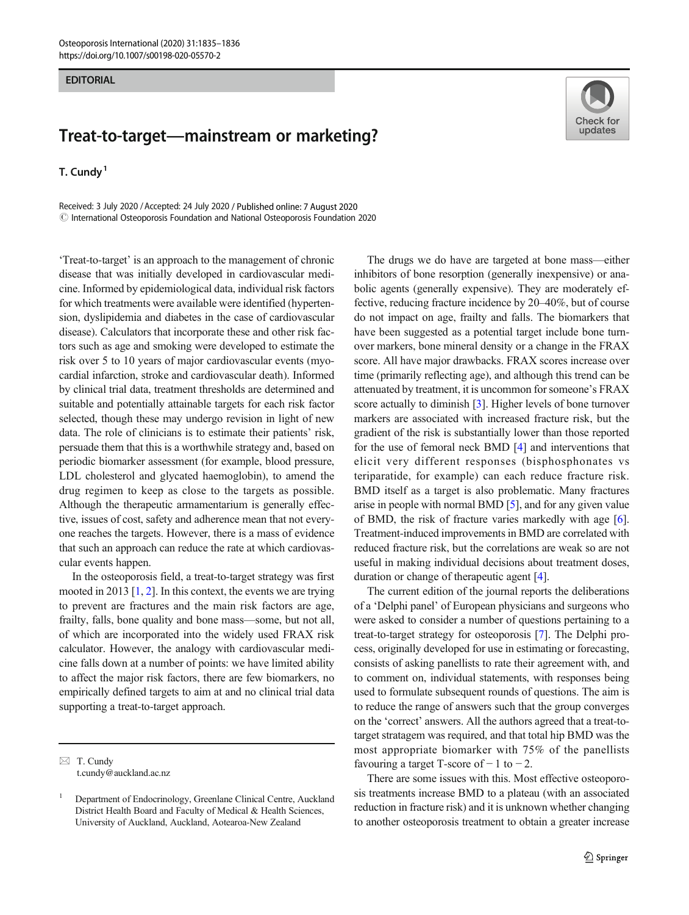## **EDITORIAL**

## Treat-to-target—mainstream or marketing?

T. Cundy<sup>1</sup>

Received: 3 July 2020 /Accepted: 24 July 2020 / Published online: 7 August 2020  $\odot$  International Osteoporosis Foundation and National Osteoporosis Foundation 2020

'Treat-to-target' is an approach to the management of chronic disease that was initially developed in cardiovascular medicine. Informed by epidemiological data, individual risk factors for which treatments were available were identified (hypertension, dyslipidemia and diabetes in the case of cardiovascular disease). Calculators that incorporate these and other risk factors such as age and smoking were developed to estimate the risk over 5 to 10 years of major cardiovascular events (myocardial infarction, stroke and cardiovascular death). Informed by clinical trial data, treatment thresholds are determined and suitable and potentially attainable targets for each risk factor selected, though these may undergo revision in light of new data. The role of clinicians is to estimate their patients' risk, persuade them that this is a worthwhile strategy and, based on periodic biomarker assessment (for example, blood pressure, LDL cholesterol and glycated haemoglobin), to amend the drug regimen to keep as close to the targets as possible. Although the therapeutic armamentarium is generally effective, issues of cost, safety and adherence mean that not everyone reaches the targets. However, there is a mass of evidence that such an approach can reduce the rate at which cardiovascular events happen.

In the osteoporosis field, a treat-to-target strategy was first mooted in [2](#page-1-0)013  $[1, 2]$  $[1, 2]$  $[1, 2]$ . In this context, the events we are trying to prevent are fractures and the main risk factors are age, frailty, falls, bone quality and bone mass—some, but not all, of which are incorporated into the widely used FRAX risk calculator. However, the analogy with cardiovascular medicine falls down at a number of points: we have limited ability to affect the major risk factors, there are few biomarkers, no empirically defined targets to aim at and no clinical trial data supporting a treat-to-target approach.



The drugs we do have are targeted at bone mass—either inhibitors of bone resorption (generally inexpensive) or anabolic agents (generally expensive). They are moderately effective, reducing fracture incidence by 20–40%, but of course do not impact on age, frailty and falls. The biomarkers that have been suggested as a potential target include bone turnover markers, bone mineral density or a change in the FRAX score. All have major drawbacks. FRAX scores increase over time (primarily reflecting age), and although this trend can be attenuated by treatment, it is uncommon for someone's FRAX score actually to diminish [[3\]](#page-1-0). Higher levels of bone turnover markers are associated with increased fracture risk, but the gradient of the risk is substantially lower than those reported for the use of femoral neck BMD [\[4](#page-1-0)] and interventions that elicit very different responses (bisphosphonates vs teriparatide, for example) can each reduce fracture risk. BMD itself as a target is also problematic. Many fractures arise in people with normal BMD [[5\]](#page-1-0), and for any given value of BMD, the risk of fracture varies markedly with age [[6\]](#page-1-0). Treatment-induced improvements in BMD are correlated with reduced fracture risk, but the correlations are weak so are not useful in making individual decisions about treatment doses, duration or change of therapeutic agent [[4\]](#page-1-0).

The current edition of the journal reports the deliberations of a 'Delphi panel' of European physicians and surgeons who were asked to consider a number of questions pertaining to a treat-to-target strategy for osteoporosis [[7\]](#page-1-0). The Delphi process, originally developed for use in estimating or forecasting, consists of asking panellists to rate their agreement with, and to comment on, individual statements, with responses being used to formulate subsequent rounds of questions. The aim is to reduce the range of answers such that the group converges on the 'correct' answers. All the authors agreed that a treat-totarget stratagem was required, and that total hip BMD was the most appropriate biomarker with 75% of the panellists favouring a target T-score of  $-1$  to  $-2$ .

There are some issues with this. Most effective osteoporosis treatments increase BMD to a plateau (with an associated reduction in fracture risk) and it is unknown whether changing to another osteoporosis treatment to obtain a greater increase

 $\boxtimes$  T. Cundy [t.cundy@auckland.ac.nz](mailto:t.cundy@auckland.ac.nz)

<sup>1</sup> Department of Endocrinology, Greenlane Clinical Centre, Auckland District Health Board and Faculty of Medical & Health Sciences, University of Auckland, Auckland, Aotearoa-New Zealand